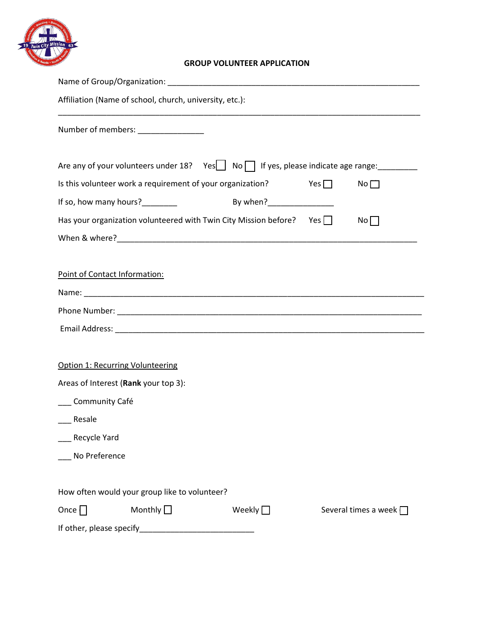

## **GROUP VOLUNTEER APPLICATION**

| Affiliation (Name of school, church, university, etc.):                                      |                           |            |                             |
|----------------------------------------------------------------------------------------------|---------------------------|------------|-----------------------------|
| Number of members: _______________                                                           |                           |            |                             |
| Are any of your volunteers under 18? Yes $\Box$ No $\Box$ If yes, please indicate age range: |                           |            |                             |
| Is this volunteer work a requirement of your organization?                                   |                           | Yes $\Box$ | No                          |
| If so, how many hours?                                                                       | By when?_________________ |            |                             |
| Has your organization volunteered with Twin City Mission before? Yes $\Box$                  |                           |            | No                          |
|                                                                                              |                           |            |                             |
|                                                                                              |                           |            |                             |
| Point of Contact Information:                                                                |                           |            |                             |
|                                                                                              |                           |            |                             |
|                                                                                              |                           |            |                             |
|                                                                                              |                           |            |                             |
|                                                                                              |                           |            |                             |
| Option 1: Recurring Volunteering                                                             |                           |            |                             |
| Areas of Interest (Rank your top 3):                                                         |                           |            |                             |
| __ Community Café                                                                            |                           |            |                             |
| Resale                                                                                       |                           |            |                             |
| <sub>-</sub> Recycle Yard                                                                    |                           |            |                             |
| No Preference                                                                                |                           |            |                             |
|                                                                                              |                           |            |                             |
| How often would your group like to volunteer?                                                |                           |            |                             |
| Monthly $\Box$<br>Once $\Box$                                                                | Weekly $\Box$             |            | Several times a week $\Box$ |
|                                                                                              |                           |            |                             |